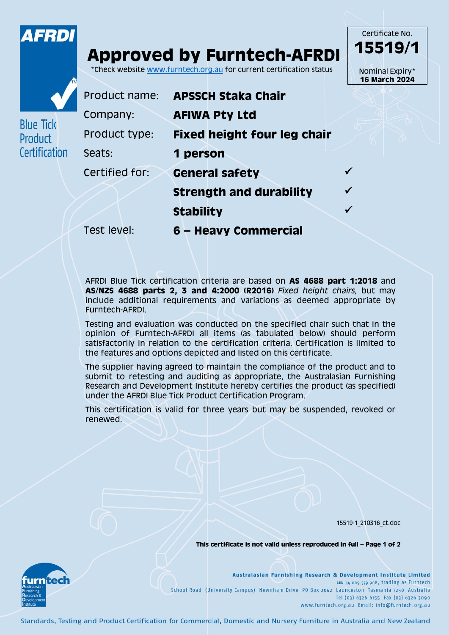

**Blue Tick** Product Certificatio

## **Approved by Furntech-AFRDI**

\*Check website [www.furntech.org.au](http://www.furntech.org.au/) for current certification status

|   |                |                                    | <b>16 March 2024</b> |
|---|----------------|------------------------------------|----------------------|
|   | Product name:  | <b>APSSCH Staka Chair</b>          |                      |
|   | Company:       | <b>AFIWA Pty Ltd</b>               |                      |
|   | Product type:  | <b>Fixed height four leg chair</b> |                      |
| n | Seats:         | 1 person                           |                      |
|   | Certified for: | <b>General safety</b>              |                      |
|   |                | <b>Strength and durability</b>     |                      |
|   |                | <b>Stability</b>                   |                      |

Test level: **6 – Heavy Commercial**

AFRDI Blue Tick certification criteria are based on **AS 4688 part 1:2018** and **AS/NZS 4688 parts 2, 3 and 4:2000 (R2016)** *Fixed height chairs,* but may include additional requirements and variations as deemed appropriate by Furntech-AFRDI.

Testing and evaluation was conducted on the specified chair such that in the opinion of Furntech-AFRDI all items (as tabulated below) should perform satisfactorily in relation to the certification criteria. Certification is limited to the features and options depicted and listed on this certificate.

The supplier having agreed to maintain the compliance of the product and to submit to retesting and auditing as appropriate, the Australasian Furnishing Research and Development Institute hereby certifies the product (as specified) under the AFRDI Blue Tick Product Certification Program.

This certification is valid for three years but may be suspended, revoked or renewed.

15519-1\_210316\_ct.doc

Certificate No. **15519/1**

Nominal Expiry\*

**This certificate is not valid unless reproduced in full – Page 1 of 2**



Australasian Furnishing Research & Development Institute Limited ABN 44 009 579 908, trading as Furntech School Road (University Campus) Newnham Drive PO Box 2042 Launceston Tasmania 7250 Australia Tel (03) 6326 6155 Fax (03) 6326 3090 www.furntech.org.au Email: info@furntech.org.au

Standards, Testing and Product Certification for Commercial, Domestic and Nursery Furniture in Australia and New Zealand